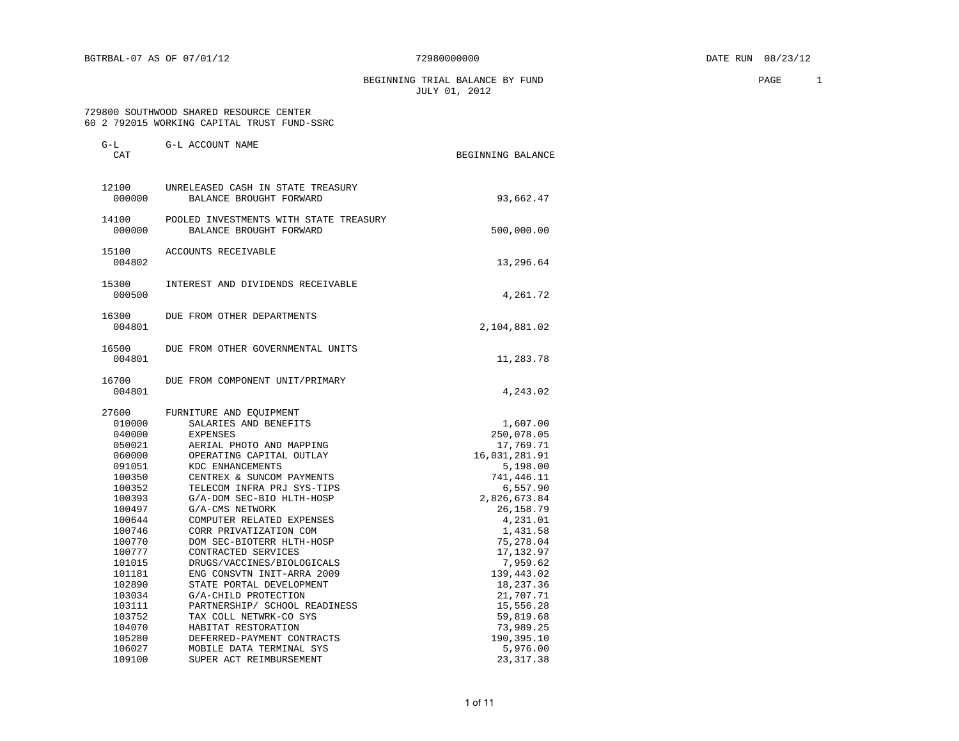BEGINNING TRIAL BALANCE BY FUND **PAGE** 2 JULY 01, 2012

### 729800 SOUTHWOOD SHARED RESOURCE CENTER 60 2 792015 WORKING CAPITAL TRUST FUND-SSRC

| $G-L$<br>CAT                                            | G-L ACCOUNT NAME                                                                                                                         | BEGINNING BALANCE                                                |
|---------------------------------------------------------|------------------------------------------------------------------------------------------------------------------------------------------|------------------------------------------------------------------|
| 12100<br>000000                                         | UNRELEASED CASH IN STATE TREASURY<br>BALANCE BROUGHT FORWARD                                                                             | 93,662.47                                                        |
| 14100<br>000000                                         | POOLED INVESTMENTS WITH STATE TREASURY<br>BALANCE BROUGHT FORWARD                                                                        | 500,000.00                                                       |
| 15100<br>004802                                         | ACCOUNTS RECEIVABLE                                                                                                                      | 13,296.64                                                        |
| 15300<br>000500                                         | INTEREST AND DIVIDENDS RECEIVABLE                                                                                                        | 4,261.72                                                         |
| 16300<br>004801                                         | DUE FROM OTHER DEPARTMENTS                                                                                                               | 2,104,881.02                                                     |
| 16500<br>004801                                         | DUE FROM OTHER GOVERNMENTAL UNITS                                                                                                        | 11,283.78                                                        |
| 16700<br>004801                                         | DUE FROM COMPONENT UNIT/PRIMARY                                                                                                          | 4,243.02                                                         |
| 27600<br>010000<br>040000<br>050021<br>060000<br>091051 | FURNITURE AND EQUIPMENT<br>SALARIES AND BENEFITS<br>EXPENSES<br>AERIAL PHOTO AND MAPPING<br>OPERATING CAPITAL OUTLAY<br>KDC ENHANCEMENTS | 1,607.00<br>250,078.05<br>17,769.71<br>16,031,281.91<br>5,198.00 |
| 100350<br>100352<br>100393<br>100497<br>100644          | CENTREX & SUNCOM PAYMENTS<br>TELECOM INFRA PRJ SYS-TIPS<br>G/A-DOM SEC-BIO HLTH-HOSP<br>G/A-CMS NETWORK<br>COMPUTER RELATED EXPENSES     | 741,446.11<br>6,557.90<br>2,826,673.84<br>26, 158.79<br>4,231.01 |
| 100746<br>100770<br>100777<br>101015                    | CORR PRIVATIZATION COM<br>DOM SEC-BIOTERR HLTH-HOSP<br>CONTRACTED SERVICES<br>DRUGS/VACCINES/BIOLOGICALS                                 | 1,431.58<br>75,278.04<br>17, 132.97<br>7,959.62                  |
| 101181<br>102890<br>103034<br>103111                    | ENG CONSVTN INIT-ARRA 2009<br>STATE PORTAL DEVELOPMENT<br>G/A-CHILD PROTECTION<br>PARTNERSHIP/ SCHOOL READINESS                          | 139,443.02<br>18,237.36<br>21,707.71<br>15,556.28                |
| 103752<br>104070<br>105280<br>106027<br>109100          | TAX COLL NETWRK-CO SYS<br>HABITAT RESTORATION<br>DEFERRED-PAYMENT CONTRACTS<br>MOBILE DATA TERMINAL SYS<br>SUPER ACT REIMBURSEMENT       | 59,819.68<br>73,989.25<br>190,395.10<br>5,976.00<br>23, 317.38   |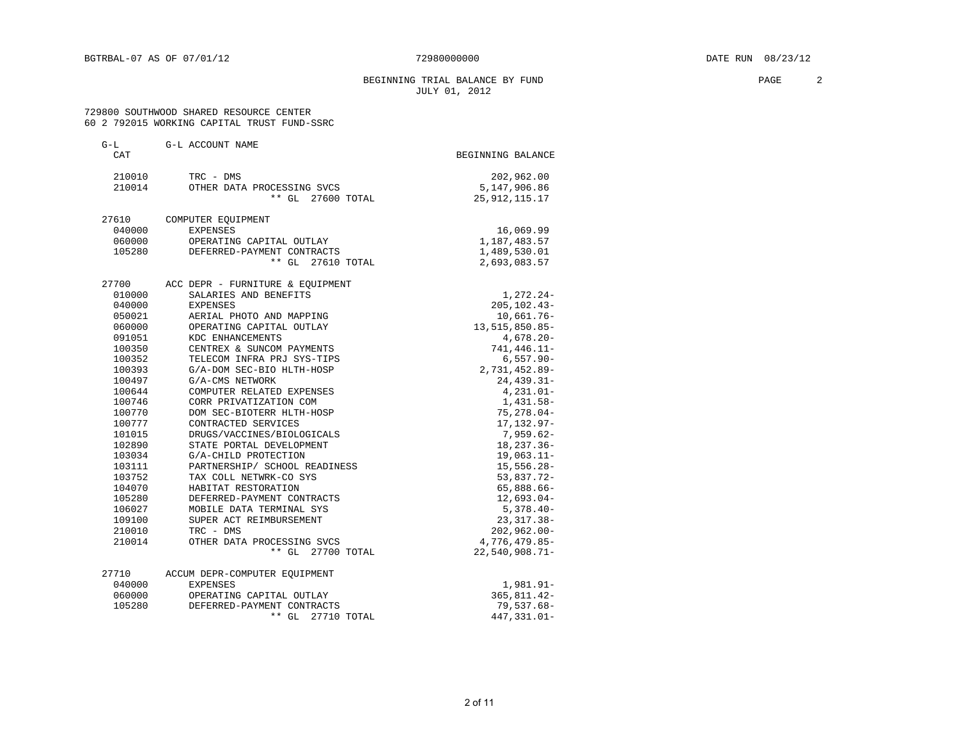### BEGINNING TRIAL BALANCE BY FUND **PAGE** 2 JULY 01, 2012

 729800 SOUTHWOOD SHARED RESOURCE CENTER 60 2 792015 WORKING CAPITAL TRUST FUND-SSRC

| $G-L$<br>CAT | G-L ACCOUNT NAME                 | BEGINNING BALANCE |
|--------------|----------------------------------|-------------------|
|              |                                  |                   |
| 210010       | TRC - DMS                        | 202,962.00        |
| 210014       | OTHER DATA PROCESSING SVCS       | 5,147,906.86      |
|              | ** GL 27600 TOTAL                | 25, 912, 115. 17  |
| 27610        | COMPUTER EQUIPMENT               |                   |
| 040000       | EXPENSES                         | 16,069.99         |
| 060000       | OPERATING CAPITAL OUTLAY         | 1,187,483.57      |
| 105280       | DEFERRED-PAYMENT CONTRACTS       | 1,489,530.01      |
|              | ** GL 27610 TOTAL                | 2,693,083.57      |
| 27700        | ACC DEPR - FURNITURE & EQUIPMENT |                   |
| 010000       | SALARIES AND BENEFITS            | $1,272.24-$       |
| 040000       | EXPENSES                         | $205, 102.43 -$   |
| 050021       | AERIAL PHOTO AND MAPPING         | $10,661.76 -$     |
| 060000       | OPERATING CAPITAL OUTLAY         | 13, 515, 850.85-  |
| 091051       | KDC ENHANCEMENTS                 | $4,678.20 -$      |
| 100350       | CENTREX & SUNCOM PAYMENTS        | 741, 446.11-      |
| 100352       | TELECOM INFRA PRJ SYS-TIPS       | $6,557.90 -$      |
| 100393       | G/A-DOM SEC-BIO HLTH-HOSP        | 2,731,452.89-     |
| 100497       | G/A-CMS NETWORK                  | $24, 439.31 -$    |
| 100644       | COMPUTER RELATED EXPENSES        | $4,231.01-$       |
| 100746       | CORR PRIVATIZATION COM           | 1,431.58-         |
| 100770       | DOM SEC-BIOTERR HLTH-HOSP        | $75, 278.04 -$    |
| 100777       | CONTRACTED SERVICES              | $17, 132.97 -$    |
| 101015       | DRUGS/VACCINES/BIOLOGICALS       | $7,959.62-$       |
| 102890       | STATE PORTAL DEVELOPMENT         | $18, 237.36 -$    |
| 103034       | G/A-CHILD PROTECTION             | $19,063.11-$      |
| 103111       | PARTNERSHIP/ SCHOOL READINESS    | $15,556.28 -$     |
| 103752       | TAX COLL NETWRK-CO SYS           | 53,837.72-        |
| 104070       | HABITAT RESTORATION              | 65,888.66-        |
| 105280       | DEFERRED-PAYMENT CONTRACTS       | $12,693.04-$      |
| 106027       | MOBILE DATA TERMINAL SYS         | $5,378.40-$       |
| 109100       | SUPER ACT REIMBURSEMENT          | $23,317.38-$      |
| 210010       | TRC - DMS                        | $202,962.00 -$    |
| 210014       | OTHER DATA PROCESSING SVCS       | 4,776,479.85-     |
|              | ** GL<br>27700 TOTAL             | $22,540,908.71-$  |
| 27710        | ACCUM DEPR-COMPUTER EQUIPMENT    |                   |
| 040000       | <b>EXPENSES</b>                  | 1,981.91-         |
| 060000       | OPERATING CAPITAL OUTLAY         | $365, 811.42 -$   |
| 105280       | DEFERRED-PAYMENT CONTRACTS       | $79,537.68 -$     |
|              | ** GL<br>27710 TOTAL             | 447, 331.01-      |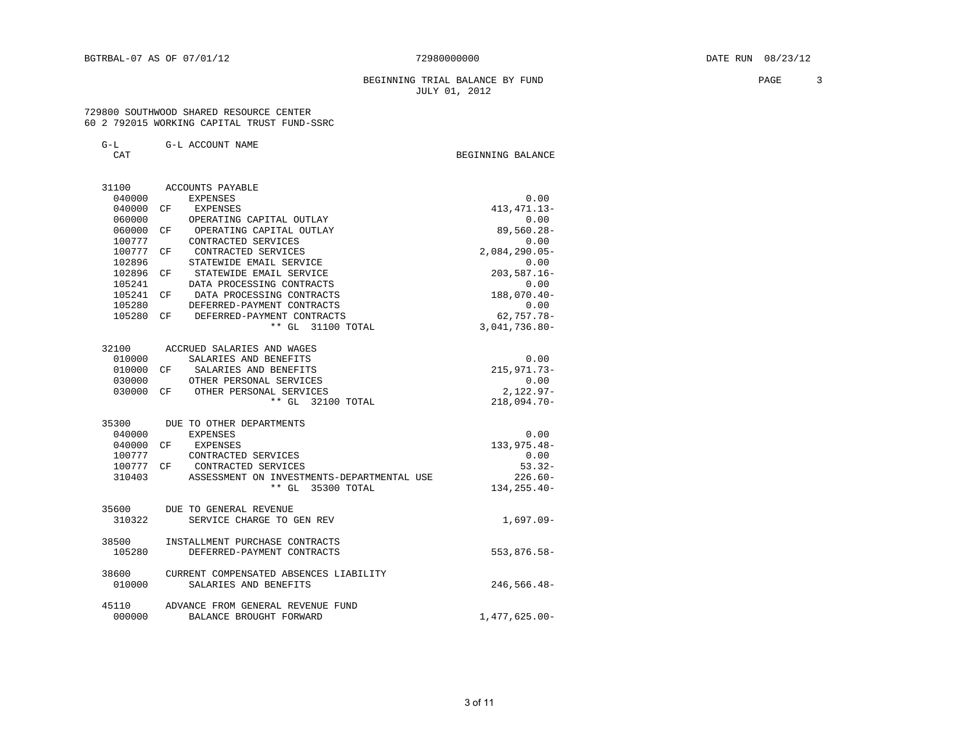#### BEGINNING TRIAL BALANCE BY FUND **PAGE** 3 JULY 01, 2012

BEGINNING BALANCE

 729800 SOUTHWOOD SHARED RESOURCE CENTER 60 2 792015 WORKING CAPITAL TRUST FUND-SSRC

G-L G-L ACCOUNT NAME

|         | × |
|---------|---|
| ×<br>۰. |   |

 31100 ACCOUNTS PAYABLE 040000 EXPENSES 0.00<br>040000 CF EXPENSES 413,471.13-040000 CF EXPENSES 060000 OPERATING CAPITAL OUTLAY 0.00 060000 CF OPERATING CAPITAL OUTLAY 100777 CONTRACTED SERVICES 0.00<br>100777 CF CONTRACTED SERVICES 2,084,290.05– 100777 CF CONTRACTED SERVICES<br>100777 CF CONTRACTED SERVICES 2,084,290.05-<br>102896 STATEWIDE EMAIL SERVICE 0.00 102896 STATEWIDE EMAIL SERVICE 102896 CF STATEWIDE EMAIL SERVICE 203,587.16- 105241 DATA PROCESSING CONTRACTS 0.00<br>105241 CF DATA PROCESSING CONTRACTS 188.070.40- 105241 CF DATA PROCESSING CONTRACTS 188,070.40- 105280 DEFERRED-PAYMENT CONTRACTS 0.00<br>105280 CF DEFERRED-PAYMENT CONTRACTS 62.757.78-105280 CF DEFERRED-PAYMENT CONTRACTS 62,757.78-<br>\*\* GL 31100 TOTAL 3,041,736.80-\*\* GL 31100 TOTAL 32100 ACCRUED SALARIES AND WAGES 010000 SALARIES AND BENEFITS 0.00<br>010000 CF SALARIES AND BENEFITS 215,971.73-010000 CF SALARIES AND BENEFITS<br>030000 0THER PERSONAL SERVICES (0.000 0.00 030000 OTHER PERSONAL SERVICES 0.00<br>030000 CF OTHER PERSONAL SERVICES 0.00 2,122.97-030000 CF OTHER PERSONAL SERVICES 2,122.97-<br>
\*\* GL 32100 TOTAL 218.094.70-<br>
218.094.70- $**$  GL  $32100$  TOTAL 35300 DUE TO OTHER DEPARTMENTS 040000 EXPENSES 0.00<br>040000 CF EXPENSES 133,975.48-040000 CF EXPENSES 133,975.48-<br>100777 CONTRACTED SERVICES 100777 0.00 100777 CONTRACTED SERVICES 100777 CF CONTRACTED SERVICES 6.00 100777 CF CONTRACTED SERVICES<br>310403 ASSESSMENT ON INVESTMENTS-DEPARTMENTAL USE 226.60-310403 ASSESSMENT ON INVESTMENTS-DEPARTMENTAL USE  $*$  + GL 35300 TOTAL 216 226.60- $**$  GL 35300 TOTAL 35600 DUE TO GENERAL REVENUE 310322 SERVICE CHARGE TO GEN REV 310322 SERVICE CHARGE TO GEN REV

| $1 + U.127$     | opivator change to gen wea                                      | 1, U <i>JI</i> . U <i>J</i> |
|-----------------|-----------------------------------------------------------------|-----------------------------|
| 38500<br>105280 | INSTALLMENT PURCHASE CONTRACTS<br>DEFERRED-PAYMENT CONTRACTS    | $553,876.58-$               |
| 38600<br>010000 | CURRENT COMPENSATED ABSENCES LIABILITY<br>SALARIES AND BENEFITS | $246,566.48-$               |
| 45110<br>000000 | ADVANCE FROM GENERAL REVENUE FUND<br>BALANCE BROUGHT FORWARD    | $1,477,625.00-$             |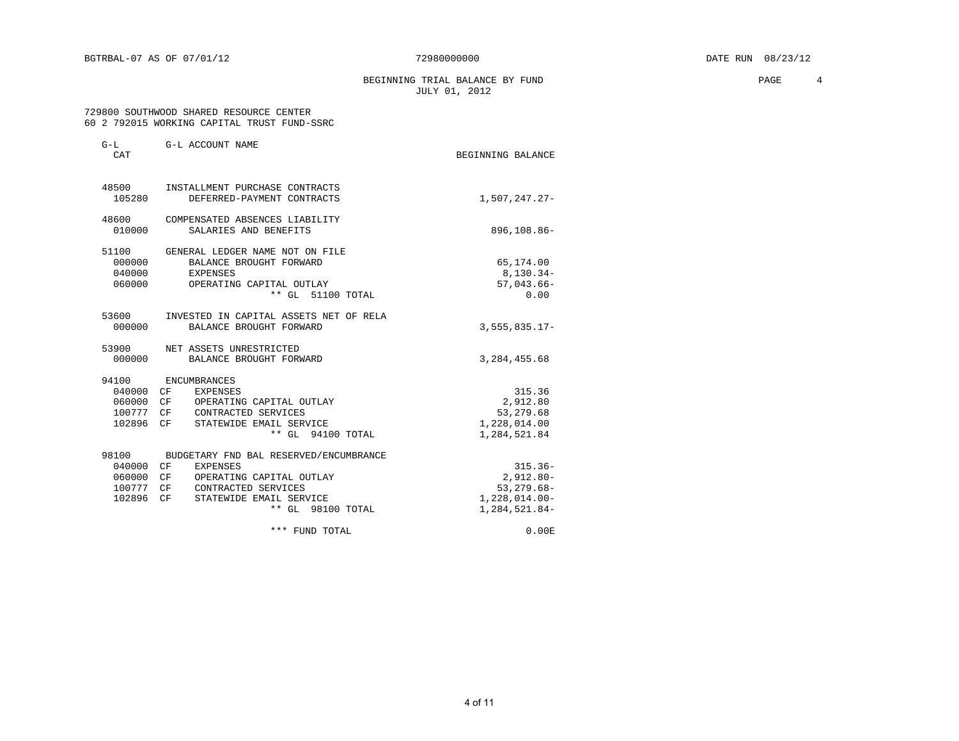BEGINNING TRIAL BALANCE BY FUND **PAGE** 4 JULY 01, 2012

### 729800 SOUTHWOOD SHARED RESOURCE CENTER 60 2 792015 WORKING CAPITAL TRUST FUND-SSRC

| $G-L$<br>CAT                                           | G-L ACCOUNT NAME                                                                                                                                                         | BEGINNING BALANCE                                                               |
|--------------------------------------------------------|--------------------------------------------------------------------------------------------------------------------------------------------------------------------------|---------------------------------------------------------------------------------|
| 48500<br>105280                                        | INSTALLMENT PURCHASE CONTRACTS<br>DEFERRED-PAYMENT CONTRACTS                                                                                                             | 1,507,247.27-                                                                   |
| 48600<br>010000                                        | COMPENSATED ABSENCES LIABILITY<br>SALARIES AND BENEFITS                                                                                                                  | 896,108.86-                                                                     |
| 51100<br>000000<br>040000<br>060000                    | GENERAL LEDGER NAME NOT ON FILE<br>BALANCE BROUGHT FORWARD<br>EXPENSES<br>OPERATING CAPITAL OUTLAY<br>** GL 51100 TOTAL                                                  | 65,174.00<br>8,130.34-<br>$57,043.66 -$<br>0.00                                 |
| 53600<br>000000                                        | INVESTED IN CAPITAL ASSETS NET OF RELA<br>BALANCE BROUGHT FORWARD                                                                                                        | $3,555,835.17-$                                                                 |
| 53900<br>000000                                        | NET ASSETS UNRESTRICTED<br>BALANCE BROUGHT FORWARD                                                                                                                       | 3, 284, 455.68                                                                  |
| 94100<br>040000 CF<br>060000 CF<br>100777 CF<br>102896 | ENCUMBRANCES<br>EXPENSES<br>OPERATING CAPITAL OUTLAY<br>CONTRACTED SERVICES<br>CF<br>STATEWIDE EMAIL SERVICE<br>** GL 94100 TOTAL                                        | 315.36<br>2,912.80<br>53, 279.68<br>1,228,014.00<br>1,284,521.84                |
| 98100<br>040000 CF<br>060000<br>100777 CF<br>102896    | BUDGETARY FND BAL RESERVED/ENCUMBRANCE<br><b>EXPENSES</b><br>OPERATING CAPITAL OUTLAY<br>CF<br>CONTRACTED SERVICES<br>CF<br>STATEWIDE EMAIL SERVICE<br>** GL 98100 TOTAL | $315.36-$<br>$2,912.80 -$<br>$53, 279.68 -$<br>$1,228,014.00-$<br>1,284,521.84- |
|                                                        | *** FUND TOTAL                                                                                                                                                           | 0.00 E                                                                          |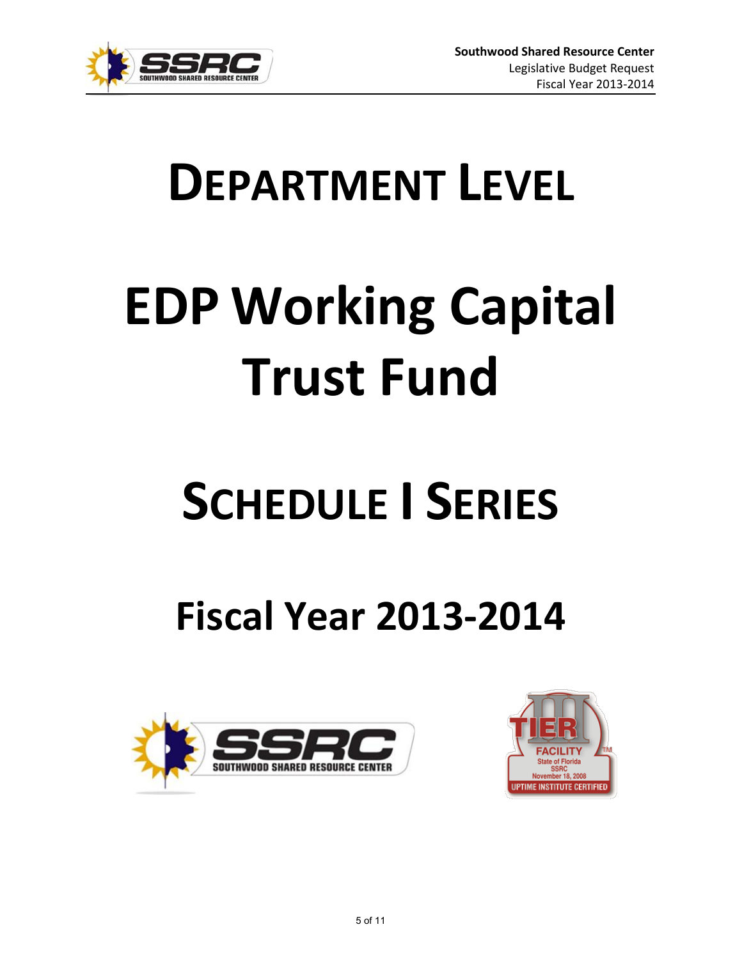

# **DEPARTMENT LEVEL**

# **EDP Working Capital Trust Fund**

# **SCHEDULE I SERIES**

# **Fiscal Year 2013-2014**



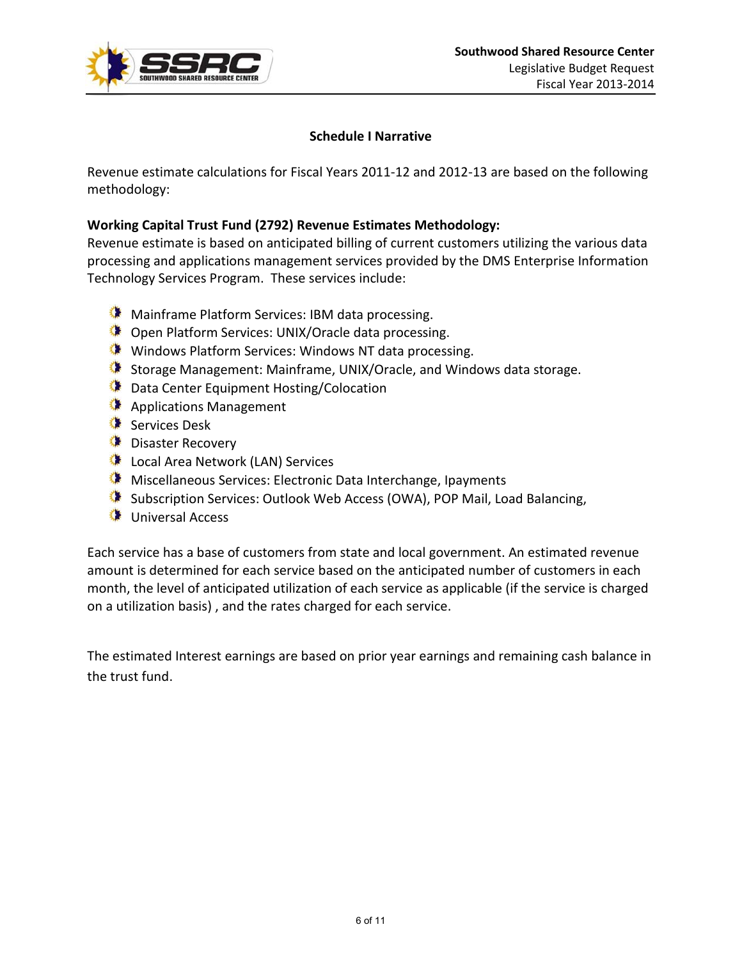

## **Schedule I Narrative**

Revenue estimate calculations for Fiscal Years 2011-12 and 2012-13 are based on the following methodology:

## **Working Capital Trust Fund (2792) Revenue Estimates Methodology:**

Revenue estimate is based on anticipated billing of current customers utilizing the various data processing and applications management services provided by the DMS Enterprise Information Technology Services Program. These services include:

- **Mainframe Platform Services: IBM data processing.**
- Open Platform Services: UNIX/Oracle data processing.
- Windows Platform Services: Windows NT data processing.
- Storage Management: Mainframe, UNIX/Oracle, and Windows data storage.
- **Data Center Equipment Hosting/Colocation**
- Applications Management
- Services Desk
- **Disaster Recovery**
- Local Area Network (LAN) Services
- **Miscellaneous Services: Electronic Data Interchange, Ipayments**
- Subscription Services: Outlook Web Access (OWA), POP Mail, Load Balancing,
- Universal Access

Each service has a base of customers from state and local government. An estimated revenue amount is determined for each service based on the anticipated number of customers in each month, the level of anticipated utilization of each service as applicable (if the service is charged on a utilization basis) , and the rates charged for each service.

The estimated Interest earnings are based on prior year earnings and remaining cash balance in the trust fund.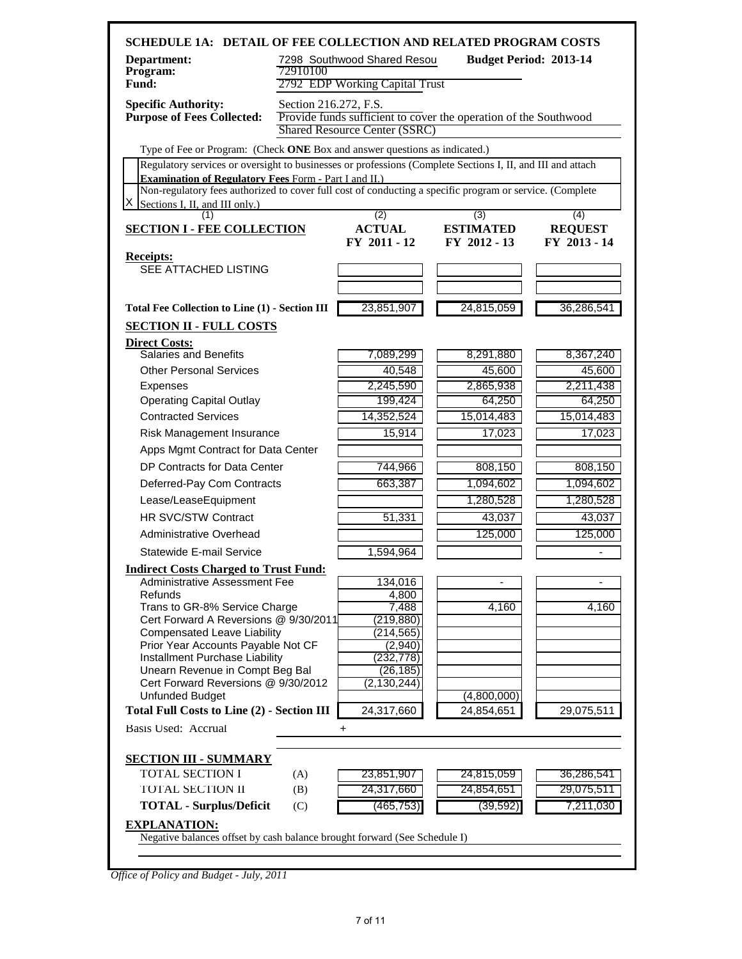| Department:<br>Program:<br>Fund:                                                                           | 72910100              | 7298 Southwood Shared Resou<br>2792 EDP Working Capital Trust | <b>Budget Period: 2013-14</b>                                    |                |
|------------------------------------------------------------------------------------------------------------|-----------------------|---------------------------------------------------------------|------------------------------------------------------------------|----------------|
| <b>Specific Authority:</b><br><b>Purpose of Fees Collected:</b>                                            | Section 216.272, F.S. | <b>Shared Resource Center (SSRC)</b>                          | Provide funds sufficient to cover the operation of the Southwood |                |
| Type of Fee or Program: (Check ONE Box and answer questions as indicated.)                                 |                       |                                                               |                                                                  |                |
| Regulatory services or oversight to businesses or professions (Complete Sections I, II, and III and attach |                       |                                                               |                                                                  |                |
| <b>Examination of Regulatory Fees Form - Part I and II.)</b>                                               |                       |                                                               |                                                                  |                |
| Non-regulatory fees authorized to cover full cost of conducting a specific program or service. (Complete   |                       |                                                               |                                                                  |                |
| х<br>Sections I, II, and III only.)<br>(1)                                                                 |                       | (2)                                                           | (3)                                                              | (4)            |
| <b>SECTION I - FEE COLLECTION</b>                                                                          |                       | <b>ACTUAL</b>                                                 | <b>ESTIMATED</b>                                                 | <b>REQUEST</b> |
|                                                                                                            |                       | FY 2011 - 12                                                  | FY 2012 - 13                                                     | FY 2013 - 14   |
| <b>Receipts:</b>                                                                                           |                       |                                                               |                                                                  |                |
| <b>SEE ATTACHED LISTING</b>                                                                                |                       |                                                               |                                                                  |                |
|                                                                                                            |                       |                                                               |                                                                  |                |
| <b>Total Fee Collection to Line (1) - Section III</b>                                                      |                       | 23,851,907                                                    | 24,815,059                                                       | 36,286,541     |
| <b>SECTION II - FULL COSTS</b>                                                                             |                       |                                                               |                                                                  |                |
|                                                                                                            |                       |                                                               |                                                                  |                |
| <b>Direct Costs:</b><br><b>Salaries and Benefits</b>                                                       |                       | 7,089,299                                                     | 8,291,880                                                        | 8,367,240      |
| <b>Other Personal Services</b>                                                                             |                       | 40,548                                                        | 45,600                                                           | 45,600         |
| Expenses                                                                                                   |                       | 2,245,590                                                     | 2,865,938                                                        | 2,211,438      |
| <b>Operating Capital Outlay</b>                                                                            |                       | 199,424                                                       | 64,250                                                           | 64,250         |
| <b>Contracted Services</b>                                                                                 |                       | 14,352,524                                                    | 15,014,483                                                       | 15,014,483     |
| Risk Management Insurance                                                                                  |                       | 15,914                                                        | 17,023                                                           | 17,023         |
| Apps Mgmt Contract for Data Center                                                                         |                       |                                                               |                                                                  |                |
| DP Contracts for Data Center                                                                               |                       |                                                               |                                                                  |                |
|                                                                                                            |                       | 744,966                                                       | 808,150                                                          | 808,150        |
| Deferred-Pay Com Contracts                                                                                 |                       | 663,387                                                       | 1,094,602                                                        | 1,094,602      |
| Lease/LeaseEquipment                                                                                       |                       |                                                               | 1,280,528                                                        | 1,280,528      |
| <b>HR SVC/STW Contract</b>                                                                                 |                       | 51,331                                                        | 43,037                                                           | 43,037         |
| Administrative Overhead                                                                                    |                       |                                                               | 125,000                                                          | 125,000        |
| Statewide E-mail Service                                                                                   |                       | 1,594,964                                                     |                                                                  |                |
| <b>Indirect Costs Charged to Trust Fund:</b>                                                               |                       |                                                               |                                                                  |                |
| Administrative Assessment Fee                                                                              |                       | 134,016                                                       |                                                                  |                |
| Refunds<br>Trans to GR-8% Service Charge                                                                   |                       | 4,800<br>7,488                                                | 4,160                                                            | 4,160          |
| Cert Forward A Reversions @ 9/30/2011                                                                      |                       | (219, 880)                                                    |                                                                  |                |
| <b>Compensated Leave Liability</b>                                                                         |                       | (214, 565)                                                    |                                                                  |                |
| Prior Year Accounts Payable Not CF                                                                         |                       | (2,940)                                                       |                                                                  |                |
| Installment Purchase Liability<br>Unearn Revenue in Compt Beg Bal                                          |                       | (232, 778)<br>(26, 185)                                       |                                                                  |                |
| Cert Forward Reversions @ 9/30/2012                                                                        |                       | (2, 130, 244)                                                 |                                                                  |                |
| <b>Unfunded Budget</b>                                                                                     |                       |                                                               | (4,800,000)                                                      |                |
| <b>Total Full Costs to Line (2) - Section III</b>                                                          |                       | 24,317,660                                                    | 24,854,651                                                       | 29,075,511     |
| Basis Used: Accrual                                                                                        |                       | +                                                             |                                                                  |                |
|                                                                                                            |                       |                                                               |                                                                  |                |
| <b>SECTION III - SUMMARY</b>                                                                               |                       |                                                               |                                                                  |                |
| <b>TOTAL SECTION I</b>                                                                                     | (A)                   | 23,851,907                                                    | 24,815,059                                                       | 36,286,541     |
| <b>TOTAL SECTION II</b>                                                                                    | (B)                   | 24,317,660                                                    | 24,854,651                                                       | 29,075,511     |
| <b>TOTAL - Surplus/Deficit</b>                                                                             | (C)                   | (465, 753)                                                    | (39, 592)                                                        | 7,211,030      |
| <b>EXPLANATION:</b>                                                                                        |                       |                                                               |                                                                  |                |

*Office of Policy and Budget - July, 2011*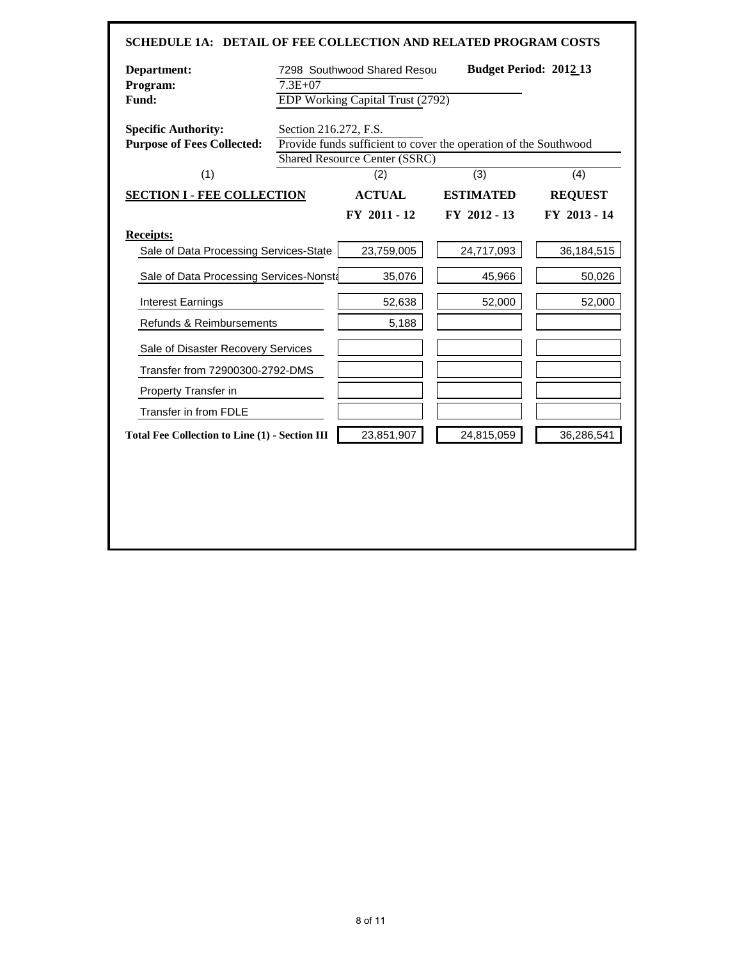| <b>SCHEDULE 1A: DETAIL OF FEE COLLECTION AND RELATED PROGRAM COSTS</b> |                       |                                             |                                                                  |                |
|------------------------------------------------------------------------|-----------------------|---------------------------------------------|------------------------------------------------------------------|----------------|
| Department:                                                            |                       | 7298 Southwood Shared Resou                 | <b>Budget Period: 2012 13</b>                                    |                |
| Program:<br>Fund:                                                      | $7.3E + 07$           | EDP Working Capital Trust (2792)            |                                                                  |                |
|                                                                        |                       |                                             |                                                                  |                |
| <b>Specific Authority:</b>                                             | Section 216.272, F.S. |                                             |                                                                  |                |
| <b>Purpose of Fees Collected:</b>                                      |                       |                                             | Provide funds sufficient to cover the operation of the Southwood |                |
| (1)                                                                    |                       | <b>Shared Resource Center (SSRC)</b><br>(2) | (3)                                                              | (4)            |
|                                                                        |                       |                                             |                                                                  |                |
| <b>SECTION I - FEE COLLECTION</b>                                      |                       | <b>ACTUAL</b>                               | <b>ESTIMATED</b>                                                 | <b>REQUEST</b> |
|                                                                        |                       | FY 2011 - 12                                | FY 2012 - 13                                                     | FY 2013 - 14   |
| <b>Receipts:</b>                                                       |                       |                                             |                                                                  |                |
| Sale of Data Processing Services-State                                 |                       | 23,759,005                                  | 24,717,093                                                       | 36,184,515     |
| Sale of Data Processing Services-Nonsta                                |                       | 35,076                                      | 45,966                                                           | 50,026         |
| <b>Interest Earnings</b>                                               |                       | 52,638                                      | 52,000                                                           | 52,000         |
| Refunds & Reimbursements                                               |                       | 5,188                                       |                                                                  |                |
| Sale of Disaster Recovery Services                                     |                       |                                             |                                                                  |                |
| Transfer from 72900300-2792-DMS                                        |                       |                                             |                                                                  |                |
| Property Transfer in                                                   |                       |                                             |                                                                  |                |
| Transfer in from FDLE                                                  |                       |                                             |                                                                  |                |
| <b>Total Fee Collection to Line (1) - Section III</b>                  |                       | 23,851,907                                  | 24,815,059                                                       | 36,286,541     |
|                                                                        |                       |                                             |                                                                  |                |
|                                                                        |                       |                                             |                                                                  |                |
|                                                                        |                       |                                             |                                                                  |                |
|                                                                        |                       |                                             |                                                                  |                |
|                                                                        |                       |                                             |                                                                  |                |
|                                                                        |                       |                                             |                                                                  |                |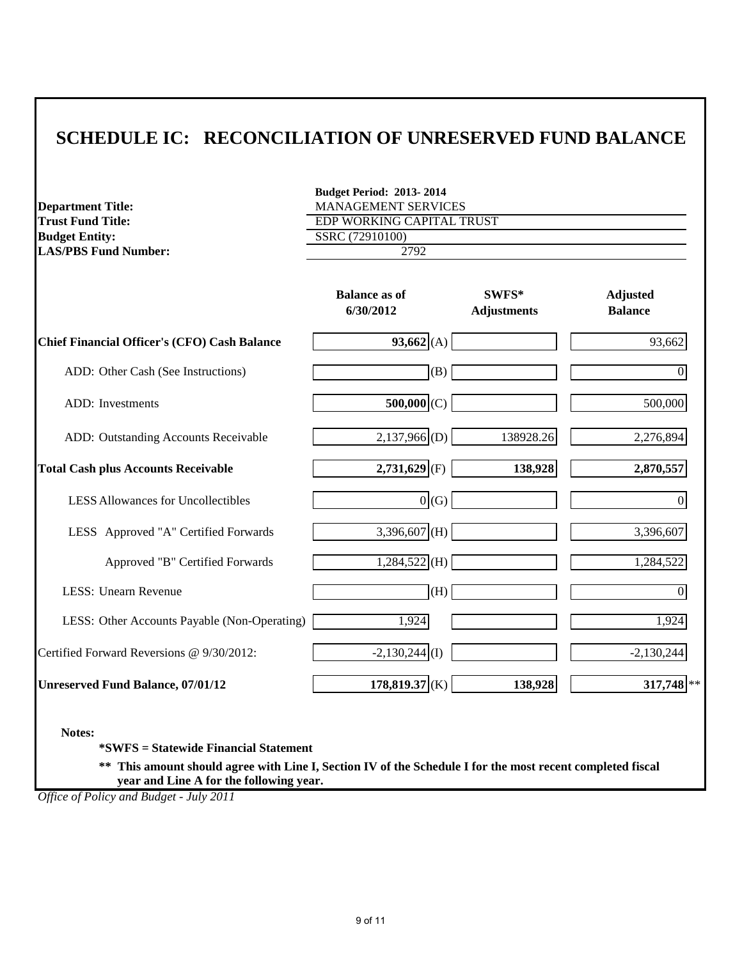# **SCHEDULE IC: RECONCILIATION OF UNRESERVED FUND BALANCE**

| <b>Department Title:</b>                                                                                                                              | <b>Budget Period: 2013-2014</b><br>MANAGEMENT SERVICES<br>EDP WORKING CAPITAL TRUST |                             |                                   |
|-------------------------------------------------------------------------------------------------------------------------------------------------------|-------------------------------------------------------------------------------------|-----------------------------|-----------------------------------|
| <b>Trust Fund Title:</b><br><b>Budget Entity:</b>                                                                                                     | SSRC (72910100)                                                                     |                             |                                   |
| <b>LAS/PBS Fund Number:</b>                                                                                                                           | 2792                                                                                |                             |                                   |
|                                                                                                                                                       |                                                                                     |                             |                                   |
|                                                                                                                                                       | <b>Balance as of</b><br>6/30/2012                                                   | SWFS*<br><b>Adjustments</b> | <b>Adjusted</b><br><b>Balance</b> |
| <b>Chief Financial Officer's (CFO) Cash Balance</b>                                                                                                   | 93,662(A)                                                                           |                             | 93,662                            |
| ADD: Other Cash (See Instructions)                                                                                                                    | (B)                                                                                 |                             | $\boldsymbol{0}$                  |
| ADD: Investments                                                                                                                                      | $500,000$ (C)                                                                       |                             | 500,000                           |
| ADD: Outstanding Accounts Receivable                                                                                                                  | $2,137,966$ <sub>(D)</sub>                                                          | 138928.26                   | 2,276,894                         |
| <b>Total Cash plus Accounts Receivable</b>                                                                                                            | $2,731,629$ <sub>(F)</sub>                                                          | 138,928                     | 2,870,557                         |
| <b>LESS Allowances for Uncollectibles</b>                                                                                                             | 0(G)                                                                                |                             | $\theta$                          |
| LESS Approved "A" Certified Forwards                                                                                                                  | 3,396,607 (H)                                                                       |                             | 3,396,607                         |
| Approved "B" Certified Forwards                                                                                                                       | $1,284,522$ (H)                                                                     |                             | 1,284,522                         |
| LESS: Unearn Revenue                                                                                                                                  | (H)                                                                                 |                             | $\mathbf{0}$                      |
| LESS: Other Accounts Payable (Non-Operating)                                                                                                          | 1,924                                                                               |                             | 1,924                             |
| Certified Forward Reversions @ 9/30/2012:                                                                                                             | $-2,130,244$ <sup>(I)</sup>                                                         |                             | $-2,130,244$                      |
| <b>Unreserved Fund Balance, 07/01/12</b>                                                                                                              | $178,819.37$ <sub>(K)</sub>                                                         | 138,928                     | $317,748$ **                      |
| Notes:<br>*SWFS = Statewide Financial Statement                                                                                                       |                                                                                     |                             |                                   |
| ** This amount should agree with Line I, Section IV of the Schedule I for the most recent completed fiscal<br>year and Line A for the following year. |                                                                                     |                             |                                   |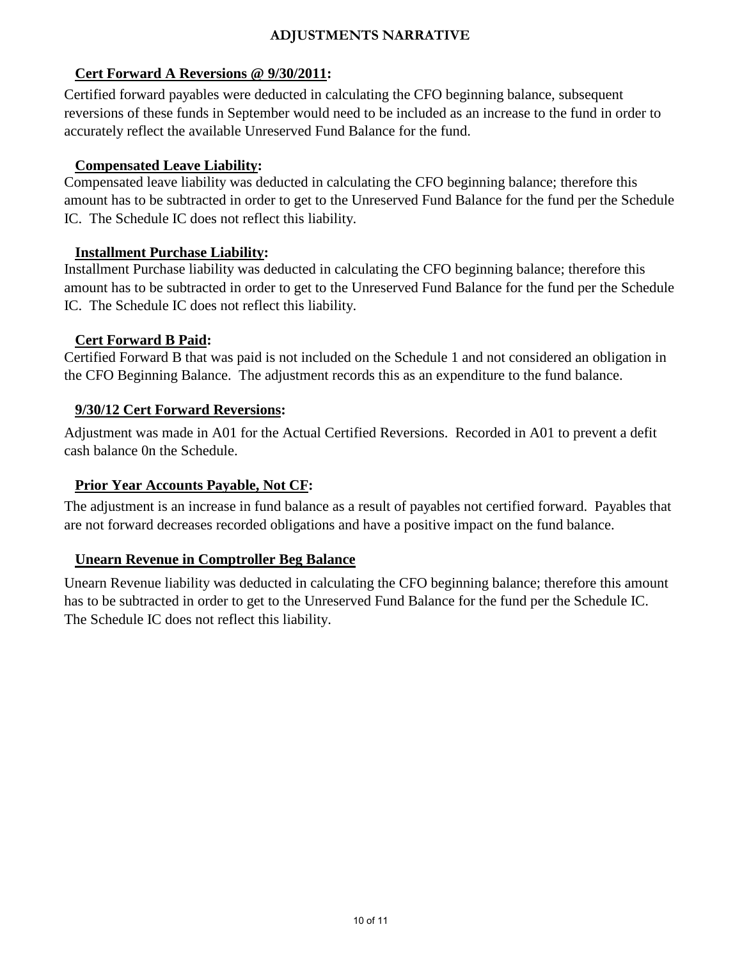## **ADJUSTMENTS NARRATIVE**

# **Cert Forward A Reversions @ 9/30/2011:**

Certified forward payables were deducted in calculating the CFO beginning balance, subsequent reversions of these funds in September would need to be included as an increase to the fund in order to accurately reflect the available Unreserved Fund Balance for the fund.

## **Compensated Leave Liability:**

Compensated leave liability was deducted in calculating the CFO beginning balance; therefore this amount has to be subtracted in order to get to the Unreserved Fund Balance for the fund per the Schedule IC. The Schedule IC does not reflect this liability.

## **Installment Purchase Liability:**

Installment Purchase liability was deducted in calculating the CFO beginning balance; therefore this amount has to be subtracted in order to get to the Unreserved Fund Balance for the fund per the Schedule IC. The Schedule IC does not reflect this liability.

# **Cert Forward B Paid:**

Certified Forward B that was paid is not included on the Schedule 1 and not considered an obligation in the CFO Beginning Balance. The adjustment records this as an expenditure to the fund balance.

# **9/30/12 Cert Forward Reversions:**

Adjustment was made in A01 for the Actual Certified Reversions. Recorded in A01 to prevent a defit cash balance 0n the Schedule.

# **Prior Year Accounts Payable, Not CF:**

The adjustment is an increase in fund balance as a result of payables not certified forward. Payables that are not forward decreases recorded obligations and have a positive impact on the fund balance.

# **Unearn Revenue in Comptroller Beg Balance**

Unearn Revenue liability was deducted in calculating the CFO beginning balance; therefore this amount has to be subtracted in order to get to the Unreserved Fund Balance for the fund per the Schedule IC. The Schedule IC does not reflect this liability.